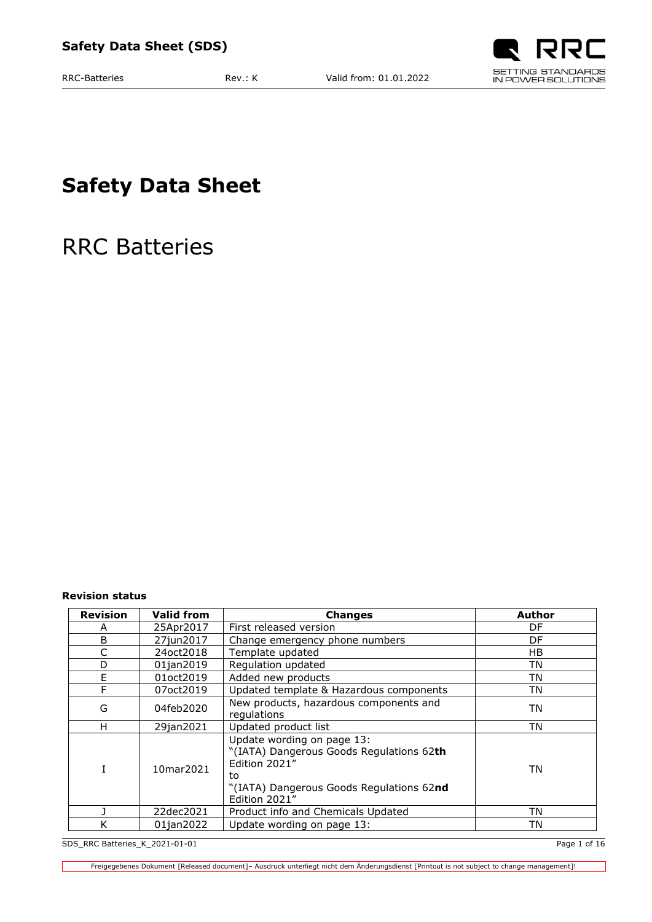

**Safety Data Sheet**

RRC Batteries

<span id="page-0-0"></span>**Revision status**

| <b>Revision</b> | <b>Valid from</b> | <b>Changes</b>                                                                                                                                             | <b>Author</b> |
|-----------------|-------------------|------------------------------------------------------------------------------------------------------------------------------------------------------------|---------------|
| А               | 25Apr2017         | First released version                                                                                                                                     | DF            |
| B               | 27jun2017         | Change emergency phone numbers                                                                                                                             | DF            |
| C               | 24 oct 2018       | Template updated                                                                                                                                           | НB            |
| D               | 01jan2019         | Regulation updated                                                                                                                                         | TN            |
| E               | 01oct2019         | Added new products                                                                                                                                         | TN            |
| F               | 07oct2019         | Updated template & Hazardous components                                                                                                                    | TN            |
| G               | 04feb2020         | New products, hazardous components and<br>regulations                                                                                                      | ΤN            |
| н               | 29jan2021         | Updated product list                                                                                                                                       | TN            |
| T               | 10mar2021         | Update wording on page 13:<br>"(IATA) Dangerous Goods Regulations 62th<br>Edition 2021"<br>to<br>"(IATA) Dangerous Goods Regulations 62nd<br>Edition 2021" | TN            |
|                 | 22dec2021         | Product info and Chemicals Updated                                                                                                                         | ΤN            |
| K               | 01jan2022         | Update wording on page 13:                                                                                                                                 | TN            |

SDS\_RRC Batteries\_K\_2021-01-01 Page 1 of 16

┑

Freigegebenes Dokument [Released document]– Ausdruck unterliegt nicht dem Änderungsdienst [Printout is not subject to change management]!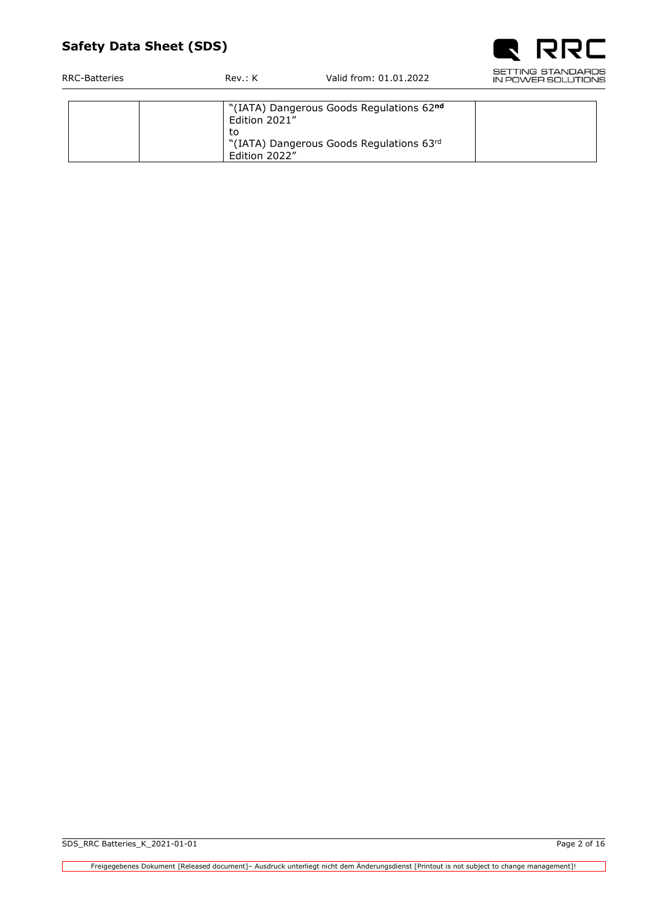

| RRC-Batteries | Rev: K        | Valid from: 01.01.2022                   |  |  |
|---------------|---------------|------------------------------------------|--|--|
|               |               |                                          |  |  |
|               | Edition 2021" | "(IATA) Dangerous Goods Regulations 62nd |  |  |
|               | τo            |                                          |  |  |
|               |               | "(IATA) Dangerous Goods Regulations 63rd |  |  |
|               | Edition 2022" |                                          |  |  |

┓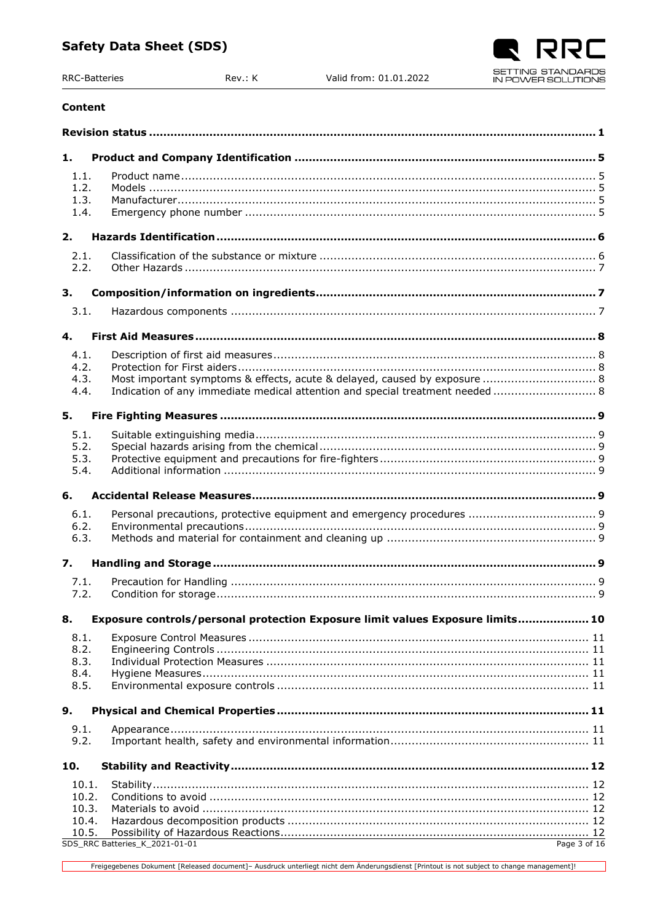# Rev.: K

# **Content**

**RRC-Batteries** 

| 1.                           |                                                                                |  |
|------------------------------|--------------------------------------------------------------------------------|--|
| 1.1.<br>1.2.<br>1.3.<br>1.4. |                                                                                |  |
| 2.                           |                                                                                |  |
| 2.1.<br>2.2.                 |                                                                                |  |
| 3.                           |                                                                                |  |
| 3.1.                         |                                                                                |  |
| 4.                           |                                                                                |  |
| 4.1.                         |                                                                                |  |
| 4.2.<br>4.3.                 | Most important symptoms & effects, acute & delayed, caused by exposure  8      |  |
| 4.4.                         | Indication of any immediate medical attention and special treatment needed  8  |  |
| 5.                           |                                                                                |  |
|                              |                                                                                |  |
| 5.1.<br>5.2.                 |                                                                                |  |
| 5.3.                         |                                                                                |  |
| 5.4.                         |                                                                                |  |
|                              |                                                                                |  |
| 6.                           |                                                                                |  |
| 6.1.                         |                                                                                |  |
| 6.2.                         |                                                                                |  |
| 6.3.                         |                                                                                |  |
| $\overline{z}$ .             |                                                                                |  |
| 7.1.                         |                                                                                |  |
| 7.2.                         |                                                                                |  |
| 8.                           | Exposure controls/personal protection Exposure limit values Exposure limits 10 |  |
| 8.1.                         |                                                                                |  |
| 8.2.                         |                                                                                |  |
| 8.3.                         |                                                                                |  |
| 8.4.                         |                                                                                |  |
| 8.5.                         |                                                                                |  |
| 9.                           |                                                                                |  |
| 9.1.                         |                                                                                |  |
| 9.2.                         |                                                                                |  |
| 10.                          |                                                                                |  |
| 10.1.                        |                                                                                |  |
| 10.2.                        |                                                                                |  |
| 10.3.                        |                                                                                |  |
| 10.4.                        |                                                                                |  |
| 10.5.                        | SDS_RRC Batteries_K_2021-01-01                                                 |  |
|                              | Page $3$ of $16$                                                               |  |

Freigegebenes Dokument [Released document]- Ausdruck unterliegt nicht dem Änderungsdienst [Printout is not subject to change management]!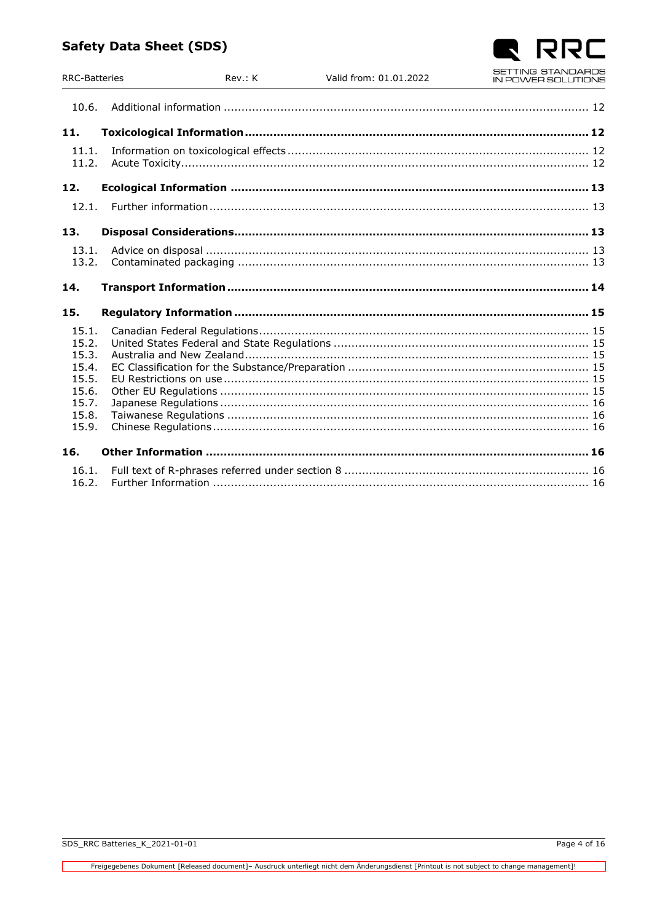Rev.: K

**RRC-Batteries** 

| 10.6.                                                                         |  |
|-------------------------------------------------------------------------------|--|
| 11.                                                                           |  |
| 11.1.<br>11.2.                                                                |  |
| 12.                                                                           |  |
| 12.1.                                                                         |  |
| 13.                                                                           |  |
| 13.1.<br>13.2.                                                                |  |
| 14.                                                                           |  |
| 15.                                                                           |  |
| 15.1.<br>15.2.<br>15.3.<br>15.4.<br>15.5.<br>15.6.<br>15.7.<br>15.8.<br>15.9. |  |
| 16.                                                                           |  |
| 16.1.<br>16.2.                                                                |  |

Valid from: 01.01.2022

 $\Box$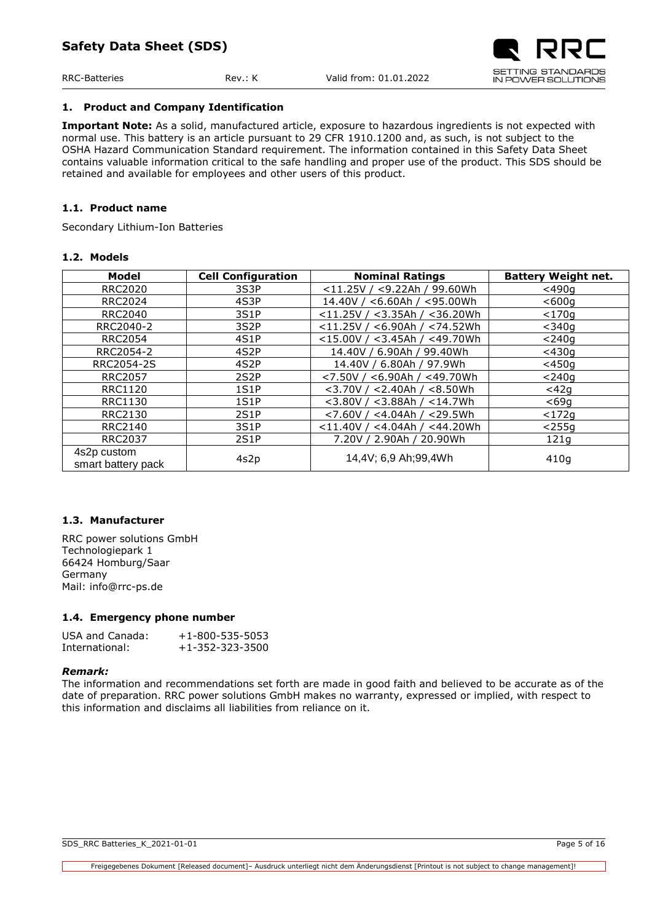# <span id="page-4-0"></span>**1. Product and Company Identification**

**Important Note:** As a solid, manufactured article, exposure to hazardous ingredients is not expected with normal use. This battery is an article pursuant to 29 CFR 1910.1200 and, as such, is not subject to the OSHA Hazard Communication Standard requirement. The information contained in this Safety Data Sheet contains valuable information critical to the safe handling and proper use of the product. This SDS should be retained and available for employees and other users of this product.

# <span id="page-4-1"></span>**1.1. Product name**

Secondary Lithium-Ion Batteries

# <span id="page-4-2"></span>**1.2. Models**

| Model              | <b>Cell Configuration</b> | <b>Nominal Ratings</b>                | <b>Battery Weight net.</b> |  |
|--------------------|---------------------------|---------------------------------------|----------------------------|--|
| <b>RRC2020</b>     | 3S3P                      | $<$ 11.25V / $<$ 9.22Ah / 99.60Wh     | $<$ 490a                   |  |
| <b>RRC2024</b>     | 4S3P                      | $<$ 6.60Ah / $<$ 95.00Wh<br>14.40V/   | $600q$                     |  |
| <b>RRC2040</b>     | 3S1P                      | $<$ 11.25V / $<$ 3.35Ah / $<$ 36.20Wh | $<$ 170 $\sigma$           |  |
| RRC2040-2          | 3S <sub>2</sub> P         | $<$ 11.25V / $<$ 6.90Ah / $<$ 74.52Wh | $<$ 340q                   |  |
| <b>RRC2054</b>     | 4S1P                      | $<$ 15.00V / $<$ 3.45Ah / $<$ 49.70Wh | $<$ 240 $\alpha$           |  |
| RRC2054-2          | 4S <sub>2</sub> P         | 14.40V / 6.90Ah / 99.40Wh             | $<$ 430 $q$                |  |
| RRC2054-2S         | 4S <sub>2</sub> P         | 14.40V / 6.80Ah / 97.9Wh              | $<$ 450g                   |  |
| <b>RRC2057</b>     | 2S <sub>2</sub> P         | $<$ 7.50V / $<$ 6.90Ah / $<$ 49.70Wh  | $<$ 240a                   |  |
| <b>RRC1120</b>     | 1S1P                      | $<$ 3.70V / $<$ 2.40Ah / $<$ 8.50Wh   | $<$ 42 $q$                 |  |
| <b>RRC1130</b>     | 1S1P                      | $<$ 3.80V / $<$ 3.88Ah / $<$ 14.7Wh   | $<$ 69q                    |  |
| <b>RRC2130</b>     | 2S1P                      | $<$ 7.60V / $<$ 4.04Ah / $<$ 29.5Wh   | $<$ 172 $q$                |  |
| <b>RRC2140</b>     | 3S1P                      | $<$ 11.40V / $<$ 4.04Ah / $<$ 44.20Wh | $<$ 255q                   |  |
| <b>RRC2037</b>     | 2S1P                      | 7.20V / 2.90Ah / 20.90Wh              | 121g                       |  |
| 4s2p custom        |                           | 14,4V; 6,9 Ah; 99,4Wh                 |                            |  |
| smart battery pack | 4s2p                      |                                       | 410g                       |  |

# <span id="page-4-3"></span>**1.3. Manufacturer**

RRC power solutions GmbH Technologiepark 1 66424 Homburg/Saar Germany Mail: info@rrc-ps.de

## <span id="page-4-4"></span>**1.4. Emergency phone number**

| USA and Canada: | $+1 - 800 - 535 - 5053$ |
|-----------------|-------------------------|
| International:  | $+1 - 352 - 323 - 3500$ |

## *Remark:*

The information and recommendations set forth are made in good faith and believed to be accurate as of the date of preparation. RRC power solutions GmbH makes no warranty, expressed or implied, with respect to this information and disclaims all liabilities from reliance on it.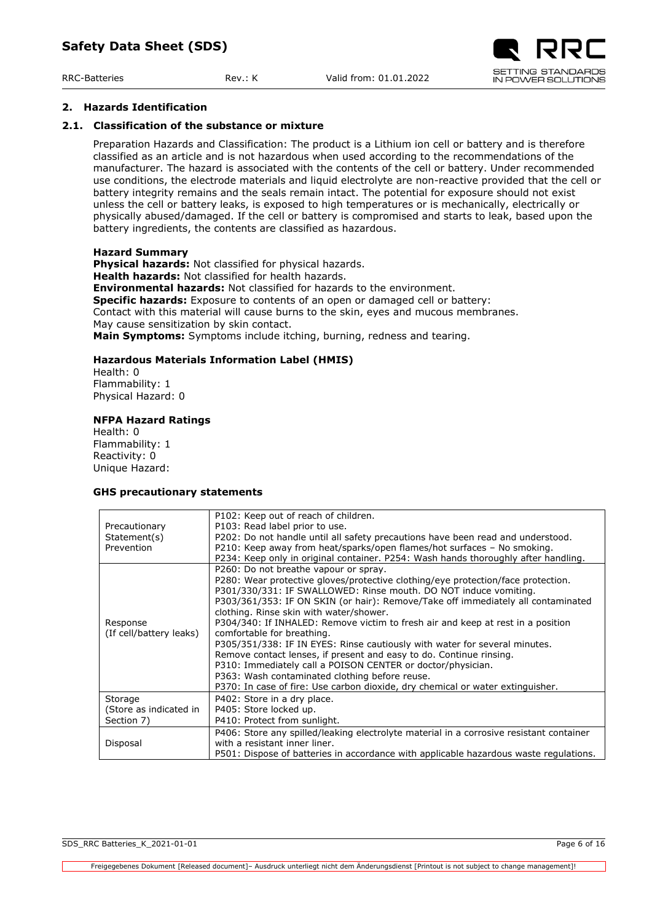## <span id="page-5-0"></span>**2. Hazards Identification**

#### **2.1. Classification of the substance or mixture**

<span id="page-5-1"></span>Preparation Hazards and Classification: The product is a Lithium ion cell or battery and is therefore classified as an article and is not hazardous when used according to the recommendations of the manufacturer. The hazard is associated with the contents of the cell or battery. Under recommended use conditions, the electrode materials and liquid electrolyte are non-reactive provided that the cell or battery integrity remains and the seals remain intact. The potential for exposure should not exist unless the cell or battery leaks, is exposed to high temperatures or is mechanically, electrically or physically abused/damaged. If the cell or battery is compromised and starts to leak, based upon the battery ingredients, the contents are classified as hazardous.

#### **Hazard Summary**

**Physical hazards:** Not classified for physical hazards. **Health hazards:** Not classified for health hazards. **Environmental hazards:** Not classified for hazards to the environment. **Specific hazards:** Exposure to contents of an open or damaged cell or battery: Contact with this material will cause burns to the skin, eyes and mucous membranes. May cause sensitization by skin contact. **Main Symptoms:** Symptoms include itching, burning, redness and tearing.

#### **Hazardous Materials Information Label (HMIS)**

Health: 0 Flammability: 1 Physical Hazard: 0

#### **NFPA Hazard Ratings**

Health: 0 Flammability: 1 Reactivity: 0 Unique Hazard:

#### **GHS precautionary statements**

|                         | P102: Keep out of reach of children.                                                    |
|-------------------------|-----------------------------------------------------------------------------------------|
| Precautionary           | P103: Read label prior to use.                                                          |
| Statement(s)            | P202: Do not handle until all safety precautions have been read and understood.         |
| Prevention              | P210: Keep away from heat/sparks/open flames/hot surfaces - No smoking.                 |
|                         | P234: Keep only in original container. P254: Wash hands thoroughly after handling.      |
|                         | P260: Do not breathe vapour or spray.                                                   |
|                         | P280: Wear protective gloves/protective clothing/eye protection/face protection.        |
|                         | P301/330/331: IF SWALLOWED: Rinse mouth. DO NOT induce vomiting.                        |
|                         | P303/361/353: IF ON SKIN (or hair): Remove/Take off immediately all contaminated        |
|                         | clothing. Rinse skin with water/shower.                                                 |
| Response                | P304/340: If INHALED: Remove victim to fresh air and keep at rest in a position         |
| (If cell/battery leaks) | comfortable for breathing.                                                              |
|                         | P305/351/338: IF IN EYES: Rinse cautiously with water for several minutes.              |
|                         | Remove contact lenses, if present and easy to do. Continue rinsing.                     |
|                         | P310: Immediately call a POISON CENTER or doctor/physician.                             |
|                         | P363: Wash contaminated clothing before reuse.                                          |
|                         | P370: In case of fire: Use carbon dioxide, dry chemical or water extinguisher.          |
| Storage                 | P402: Store in a dry place.                                                             |
| (Store as indicated in  | P405: Store locked up.                                                                  |
| Section 7)              | P410: Protect from sunlight.                                                            |
|                         | P406: Store any spilled/leaking electrolyte material in a corrosive resistant container |
| Disposal                | with a resistant inner liner.                                                           |
|                         | P501: Dispose of batteries in accordance with applicable hazardous waste regulations.   |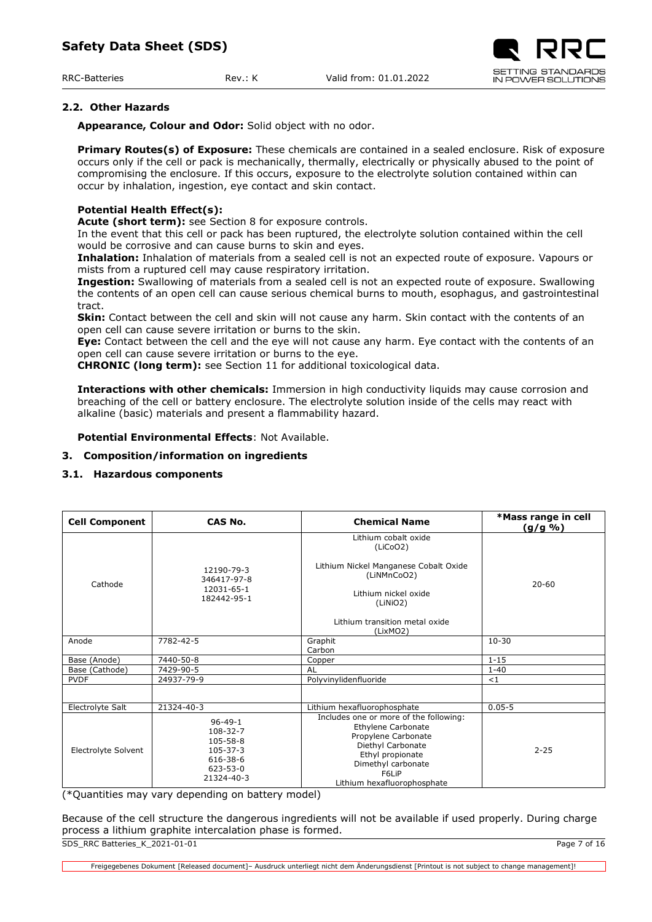RRC-Batteries Rev.: K Valid from: 01.01.2022

# <span id="page-6-0"></span>**2.2. Other Hazards**

**Appearance, Colour and Odor:** Solid object with no odor.

**Primary Routes(s) of Exposure:** These chemicals are contained in a sealed enclosure. Risk of exposure occurs only if the cell or pack is mechanically, thermally, electrically or physically abused to the point of compromising the enclosure. If this occurs, exposure to the electrolyte solution contained within can occur by inhalation, ingestion, eye contact and skin contact.

# **Potential Health Effect(s):**

**Acute (short term):** see Section 8 for exposure controls.

In the event that this cell or pack has been ruptured, the electrolyte solution contained within the cell would be corrosive and can cause burns to skin and eyes.

**Inhalation:** Inhalation of materials from a sealed cell is not an expected route of exposure. Vapours or mists from a ruptured cell may cause respiratory irritation.

**Ingestion:** Swallowing of materials from a sealed cell is not an expected route of exposure. Swallowing the contents of an open cell can cause serious chemical burns to mouth, esophagus, and gastrointestinal tract.

**Skin:** Contact between the cell and skin will not cause any harm. Skin contact with the contents of an open cell can cause severe irritation or burns to the skin.

**Eye:** Contact between the cell and the eye will not cause any harm. Eye contact with the contents of an open cell can cause severe irritation or burns to the eye.

**CHRONIC (long term):** see Section 11 for additional toxicological data.

**Interactions with other chemicals:** Immersion in high conductivity liquids may cause corrosion and breaching of the cell or battery enclosure. The electrolyte solution inside of the cells may react with alkaline (basic) materials and present a flammability hazard.

**Potential Environmental Effects**: Not Available.

# <span id="page-6-1"></span>**3. Composition/information on ingredients**

# <span id="page-6-2"></span>**3.1. Hazardous components**

| <b>Cell Component</b> | CAS No.                                                                                             | <b>Chemical Name</b>                                                                                                                                                                                    | *Mass range in cell<br><u>(g/g %)</u> |
|-----------------------|-----------------------------------------------------------------------------------------------------|---------------------------------------------------------------------------------------------------------------------------------------------------------------------------------------------------------|---------------------------------------|
| Cathode               | 12190-79-3<br>346417-97-8<br>12031-65-1<br>182442-95-1                                              | Lithium cobalt oxide<br>(LiCoO2)<br>Lithium Nickel Manganese Cobalt Oxide<br>(LiNMnCoO2)<br>Lithium nickel oxide<br>(LiNiO2)<br>Lithium transition metal oxide<br>(LixMO2)                              | $20 - 60$                             |
| Anode                 | 7782-42-5                                                                                           | Graphit<br>Carbon                                                                                                                                                                                       | $10 - 30$                             |
| Base (Anode)          | 7440-50-8                                                                                           | Copper                                                                                                                                                                                                  | $1 - 15$                              |
| Base (Cathode)        | 7429-90-5                                                                                           | <b>AL</b>                                                                                                                                                                                               | $1 - 40$                              |
| <b>PVDF</b>           | 24937-79-9                                                                                          | Polyvinylidenfluoride                                                                                                                                                                                   | <1                                    |
|                       |                                                                                                     |                                                                                                                                                                                                         |                                       |
| Electrolyte Salt      | 21324-40-3                                                                                          | Lithium hexafluorophosphate                                                                                                                                                                             | $0.05 - 5$                            |
| Electrolyte Solvent   | $96 - 49 - 1$<br>108-32-7<br>105-58-8<br>$105 - 37 - 3$<br>616-38-6<br>$623 - 53 - 0$<br>21324-40-3 | Includes one or more of the following:<br>Ethylene Carbonate<br>Propylene Carbonate<br>Diethyl Carbonate<br>$2 - 25$<br>Ethyl propionate<br>Dimethyl carbonate<br>F6I iP<br>Lithium hexafluorophosphate |                                       |

(\*Quantities may vary depending on battery model)

SDS\_RRC Batteries\_K\_2021-01-01 Page 7 of 16 Because of the cell structure the dangerous ingredients will not be available if used properly. During charge process a lithium graphite intercalation phase is formed.

Freigegebenes Dokument [Released document]– Ausdruck unterliegt nicht dem Änderungsdienst [Printout is not subject to change management]!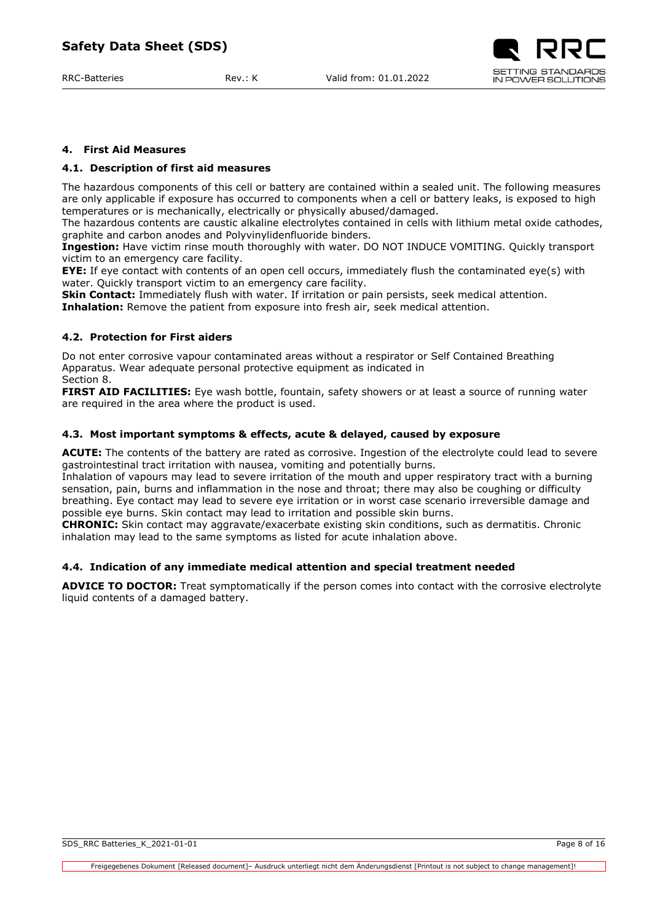#### <span id="page-7-0"></span>**4. First Aid Measures**

#### <span id="page-7-1"></span>**4.1. Description of first aid measures**

The hazardous components of this cell or battery are contained within a sealed unit. The following measures are only applicable if exposure has occurred to components when a cell or battery leaks, is exposed to high temperatures or is mechanically, electrically or physically abused/damaged.

The hazardous contents are caustic alkaline electrolytes contained in cells with lithium metal oxide cathodes, graphite and carbon anodes and Polyvinylidenfluoride binders.

**Ingestion:** Have victim rinse mouth thoroughly with water. DO NOT INDUCE VOMITING. Quickly transport victim to an emergency care facility.

**EYE:** If eye contact with contents of an open cell occurs, immediately flush the contaminated eye(s) with water. Quickly transport victim to an emergency care facility.

**Skin Contact:** Immediately flush with water. If irritation or pain persists, seek medical attention. **Inhalation:** Remove the patient from exposure into fresh air, seek medical attention.

#### <span id="page-7-2"></span>**4.2. Protection for First aiders**

Do not enter corrosive vapour contaminated areas without a respirator or Self Contained Breathing Apparatus. Wear adequate personal protective equipment as indicated in Section 8.

**FIRST AID FACILITIES:** Eye wash bottle, fountain, safety showers or at least a source of running water are required in the area where the product is used.

#### <span id="page-7-3"></span>**4.3. Most important symptoms & effects, acute & delayed, caused by exposure**

**ACUTE:** The contents of the battery are rated as corrosive. Ingestion of the electrolyte could lead to severe gastrointestinal tract irritation with nausea, vomiting and potentially burns.

Inhalation of vapours may lead to severe irritation of the mouth and upper respiratory tract with a burning sensation, pain, burns and inflammation in the nose and throat; there may also be coughing or difficulty breathing. Eye contact may lead to severe eye irritation or in worst case scenario irreversible damage and possible eye burns. Skin contact may lead to irritation and possible skin burns.

**CHRONIC:** Skin contact may aggravate/exacerbate existing skin conditions, such as dermatitis. Chronic inhalation may lead to the same symptoms as listed for acute inhalation above.

## <span id="page-7-4"></span>**4.4. Indication of any immediate medical attention and special treatment needed**

**ADVICE TO DOCTOR:** Treat symptomatically if the person comes into contact with the corrosive electrolyte liquid contents of a damaged battery.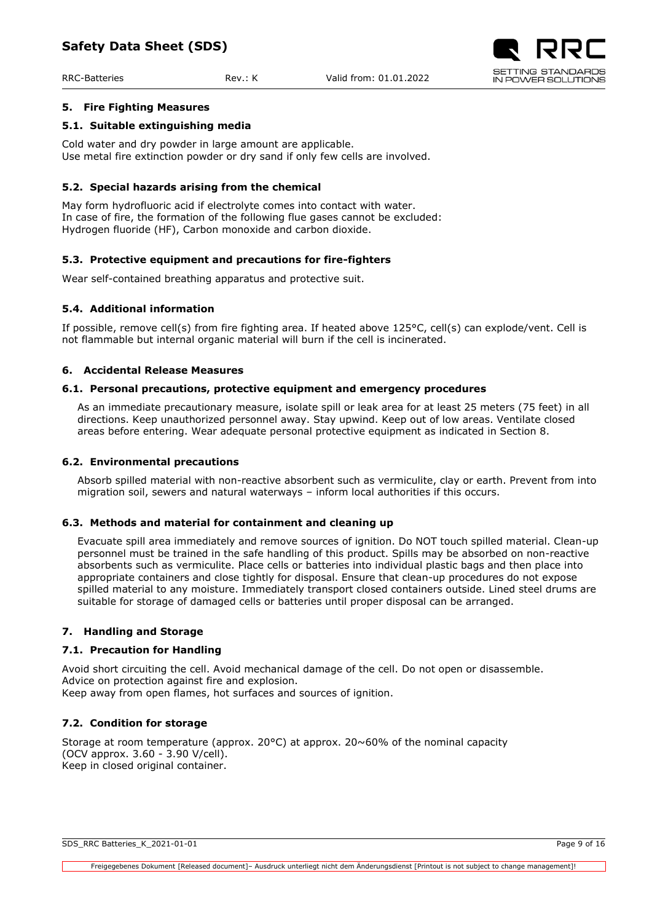

# <span id="page-8-0"></span>**5. Fire Fighting Measures**

## <span id="page-8-1"></span>**5.1. Suitable extinguishing media**

Cold water and dry powder in large amount are applicable. Use metal fire extinction powder or dry sand if only few cells are involved.

## <span id="page-8-2"></span>**5.2. Special hazards arising from the chemical**

May form hydrofluoric acid if electrolyte comes into contact with water. In case of fire, the formation of the following flue gases cannot be excluded: Hydrogen fluoride (HF), Carbon monoxide and carbon dioxide.

#### <span id="page-8-3"></span>**5.3. Protective equipment and precautions for fire-fighters**

Wear self-contained breathing apparatus and protective suit.

#### <span id="page-8-4"></span>**5.4. Additional information**

If possible, remove cell(s) from fire fighting area. If heated above 125°C, cell(s) can explode/vent. Cell is not flammable but internal organic material will burn if the cell is incinerated.

#### <span id="page-8-5"></span>**6. Accidental Release Measures**

#### <span id="page-8-6"></span>**6.1. Personal precautions, protective equipment and emergency procedures**

As an immediate precautionary measure, isolate spill or leak area for at least 25 meters (75 feet) in all directions. Keep unauthorized personnel away. Stay upwind. Keep out of low areas. Ventilate closed areas before entering. Wear adequate personal protective equipment as indicated in Section 8.

#### <span id="page-8-7"></span>**6.2. Environmental precautions**

Absorb spilled material with non-reactive absorbent such as vermiculite, clay or earth. Prevent from into migration soil, sewers and natural waterways – inform local authorities if this occurs.

#### <span id="page-8-8"></span>**6.3. Methods and material for containment and cleaning up**

Evacuate spill area immediately and remove sources of ignition. Do NOT touch spilled material. Clean-up personnel must be trained in the safe handling of this product. Spills may be absorbed on non-reactive absorbents such as vermiculite. Place cells or batteries into individual plastic bags and then place into appropriate containers and close tightly for disposal. Ensure that clean-up procedures do not expose spilled material to any moisture. Immediately transport closed containers outside. Lined steel drums are suitable for storage of damaged cells or batteries until proper disposal can be arranged.

## <span id="page-8-9"></span>**7. Handling and Storage**

#### <span id="page-8-10"></span>**7.1. Precaution for Handling**

Avoid short circuiting the cell. Avoid mechanical damage of the cell. Do not open or disassemble. Advice on protection against fire and explosion. Keep away from open flames, hot surfaces and sources of ignition.

## <span id="page-8-11"></span>**7.2. Condition for storage**

Storage at room temperature (approx.  $20^{\circ}$ C) at approx.  $20^{\circ}60\%$  of the nominal capacity (OCV approx. 3.60 - 3.90 V/cell). Keep in closed original container.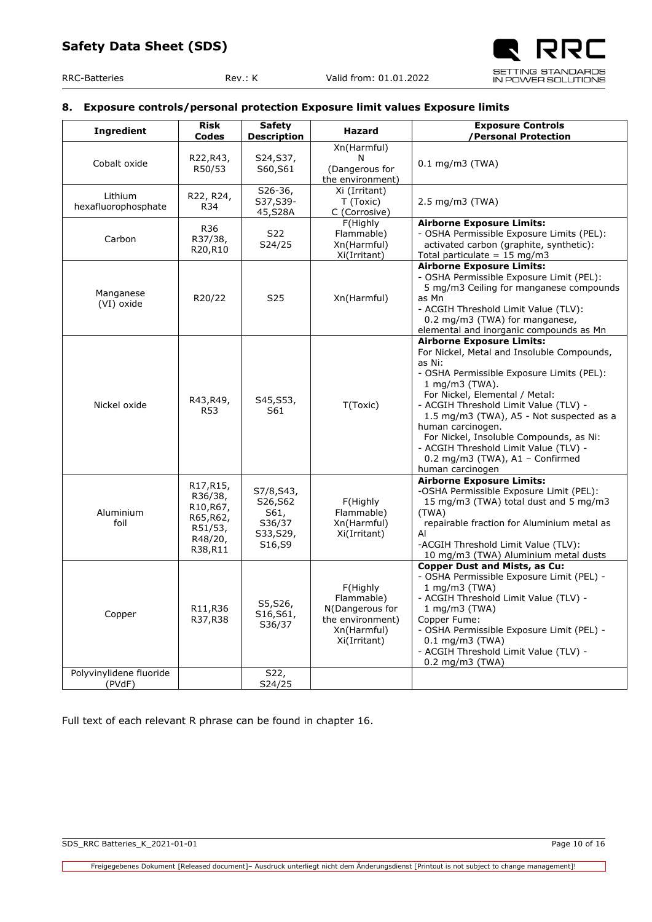## <span id="page-9-0"></span>**8. Exposure controls/personal protection Exposure limit values Exposure limits**

| <b>Ingredient</b>                 | <b>Risk</b><br>Codes                                                           | <b>Safety</b><br><b>Description</b>                             | Hazard                                                                                       | <b>Exposure Controls</b><br><b>Personal Protection</b>                                                                                                                                                                                                                                                                                                                                                                                         |
|-----------------------------------|--------------------------------------------------------------------------------|-----------------------------------------------------------------|----------------------------------------------------------------------------------------------|------------------------------------------------------------------------------------------------------------------------------------------------------------------------------------------------------------------------------------------------------------------------------------------------------------------------------------------------------------------------------------------------------------------------------------------------|
| Cobalt oxide                      | R22,R43,<br>R50/53                                                             | S24, S37,<br>S60,S61                                            | Xn(Harmful)<br>N<br>(Dangerous for<br>the environment)                                       | $0.1$ mg/m3 (TWA)                                                                                                                                                                                                                                                                                                                                                                                                                              |
| Lithium<br>hexafluorophosphate    | R22, R24,<br>R34                                                               | $S26-36$ ,<br>S37, S39-<br>45, S28A                             | Xi (Irritant)<br>T (Toxic)<br>C (Corrosive)                                                  | $2.5 \text{ mg/m}$ $3 \text{ (TWA)}$                                                                                                                                                                                                                                                                                                                                                                                                           |
| Carbon                            | R36<br>R37/38,<br>R20,R10                                                      | S22<br>S24/25                                                   | F(Highly<br>Flammable)<br>Xn(Harmful)<br>Xi(Irritant)                                        | <b>Airborne Exposure Limits:</b><br>- OSHA Permissible Exposure Limits (PEL):<br>activated carbon (graphite, synthetic):<br>Total particulate = $15 \text{ mg/m}$ 3                                                                                                                                                                                                                                                                            |
| Manganese<br>(VI) oxide           | R20/22                                                                         | S <sub>25</sub>                                                 | Xn(Harmful)                                                                                  | <b>Airborne Exposure Limits:</b><br>- OSHA Permissible Exposure Limit (PEL):<br>5 mg/m3 Ceiling for manganese compounds<br>as Mn<br>- ACGIH Threshold Limit Value (TLV):<br>0.2 mg/m3 (TWA) for manganese,<br>elemental and inorganic compounds as Mn                                                                                                                                                                                          |
| Nickel oxide                      | R43, R49,<br><b>R53</b>                                                        | S45, S53,<br>S61                                                | T(Toxic)                                                                                     | <b>Airborne Exposure Limits:</b><br>For Nickel, Metal and Insoluble Compounds,<br>as Ni:<br>- OSHA Permissible Exposure Limits (PEL):<br>1 mg/m3 (TWA).<br>For Nickel, Elemental / Metal:<br>- ACGIH Threshold Limit Value (TLV) -<br>1.5 mg/m3 (TWA), A5 - Not suspected as a<br>human carcinogen.<br>For Nickel, Insoluble Compounds, as Ni:<br>- ACGIH Threshold Limit Value (TLV) -<br>0.2 mg/m3 (TWA), A1 - Confirmed<br>human carcinogen |
| Aluminium<br>foil                 | R17, R15,<br>R36/38,<br>R10, R67,<br>R65,R62,<br>R51/53,<br>R48/20,<br>R38,R11 | S7/8, S43,<br>S26, S62<br>S61,<br>S36/37<br>S33, S29,<br>S16,S9 | F(Highly<br>Flammable)<br>Xn(Harmful)<br>Xi(Irritant)                                        | <b>Airborne Exposure Limits:</b><br>-OSHA Permissible Exposure Limit (PEL):<br>15 mg/m3 (TWA) total dust and 5 mg/m3<br>(TWA)<br>repairable fraction for Aluminium metal as<br>Al<br>-ACGIH Threshold Limit Value (TLV):<br>10 mg/m3 (TWA) Aluminium metal dusts                                                                                                                                                                               |
| Copper                            | R11,R36<br>R37, R38                                                            | S5, S26,<br>S16, S61,<br>S36/37                                 | F(Highly<br>Flammable)<br>N(Dangerous for<br>the environment)<br>Xn(Harmful)<br>Xi(Irritant) | <b>Copper Dust and Mists, as Cu:</b><br>- OSHA Permissible Exposure Limit (PEL) -<br>1 mg/m3 (TWA)<br>- ACGIH Threshold Limit Value (TLV) -<br>1 mg/m3 (TWA)<br>Copper Fume:<br>- OSHA Permissible Exposure Limit (PEL) -<br>$0.1$ mg/m3 (TWA)<br>- ACGIH Threshold Limit Value (TLV) -<br>$0.2$ mg/m3 (TWA)                                                                                                                                   |
| Polyvinylidene fluoride<br>(PVdF) |                                                                                | S22,<br>S24/25                                                  |                                                                                              |                                                                                                                                                                                                                                                                                                                                                                                                                                                |

Full text of each relevant R phrase can be found in chapter 16.

┑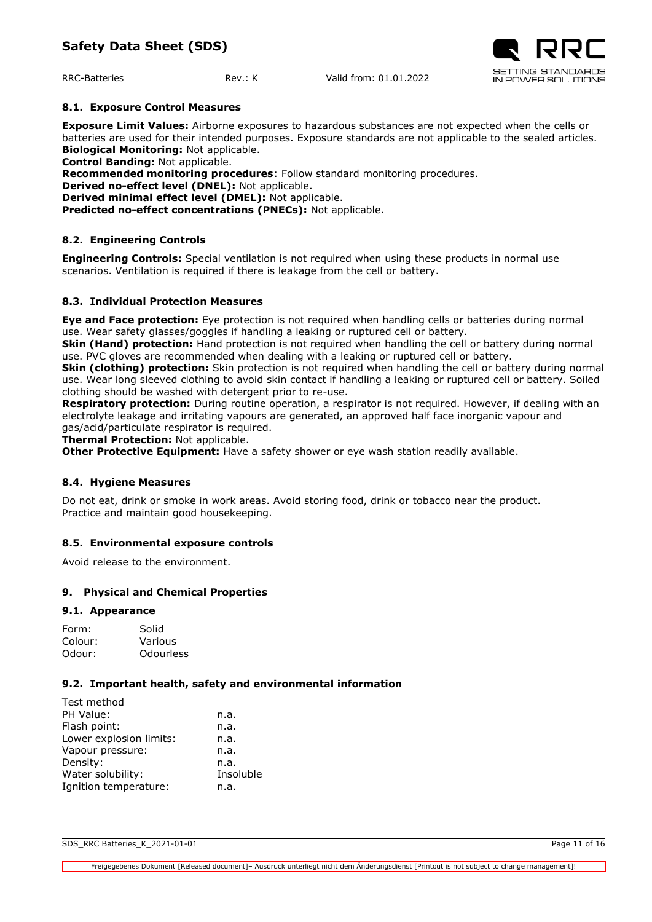# <span id="page-10-0"></span>**8.1. Exposure Control Measures**

**Exposure Limit Values:** Airborne exposures to hazardous substances are not expected when the cells or batteries are used for their intended purposes. Exposure standards are not applicable to the sealed articles. **Biological Monitoring:** Not applicable.

**Control Banding:** Not applicable.

**Recommended monitoring procedures**: Follow standard monitoring procedures.

**Derived no-effect level (DNEL):** Not applicable.

**Derived minimal effect level (DMEL):** Not applicable.

**Predicted no-effect concentrations (PNECs):** Not applicable.

## <span id="page-10-1"></span>**8.2. Engineering Controls**

**Engineering Controls:** Special ventilation is not required when using these products in normal use scenarios. Ventilation is required if there is leakage from the cell or battery.

#### <span id="page-10-2"></span>**8.3. Individual Protection Measures**

**Eye and Face protection:** Eye protection is not required when handling cells or batteries during normal use. Wear safety glasses/goggles if handling a leaking or ruptured cell or battery.

**Skin (Hand) protection:** Hand protection is not required when handling the cell or battery during normal use. PVC gloves are recommended when dealing with a leaking or ruptured cell or battery.

**Skin (clothing) protection:** Skin protection is not required when handling the cell or battery during normal use. Wear long sleeved clothing to avoid skin contact if handling a leaking or ruptured cell or battery. Soiled clothing should be washed with detergent prior to re-use.

**Respiratory protection:** During routine operation, a respirator is not required. However, if dealing with an electrolyte leakage and irritating vapours are generated, an approved half face inorganic vapour and gas/acid/particulate respirator is required.

**Thermal Protection:** Not applicable.

**Other Protective Equipment:** Have a safety shower or eye wash station readily available.

## <span id="page-10-3"></span>**8.4. Hygiene Measures**

Do not eat, drink or smoke in work areas. Avoid storing food, drink or tobacco near the product. Practice and maintain good housekeeping.

## <span id="page-10-4"></span>**8.5. Environmental exposure controls**

Avoid release to the environment.

## <span id="page-10-5"></span>**9. Physical and Chemical Properties**

#### <span id="page-10-6"></span>**9.1. Appearance**

| Form:   | Solid     |
|---------|-----------|
| Colour: | Various   |
| Odour:  | Odourless |

#### <span id="page-10-7"></span>**9.2. Important health, safety and environmental information**

| Test method             |           |
|-------------------------|-----------|
| PH Value:               | n.a.      |
| Flash point:            | n.a.      |
| Lower explosion limits: | n.a.      |
| Vapour pressure:        | n.a.      |
| Density:                | n.a.      |
| Water solubility:       | Insoluble |
| Ignition temperature:   | n.a.      |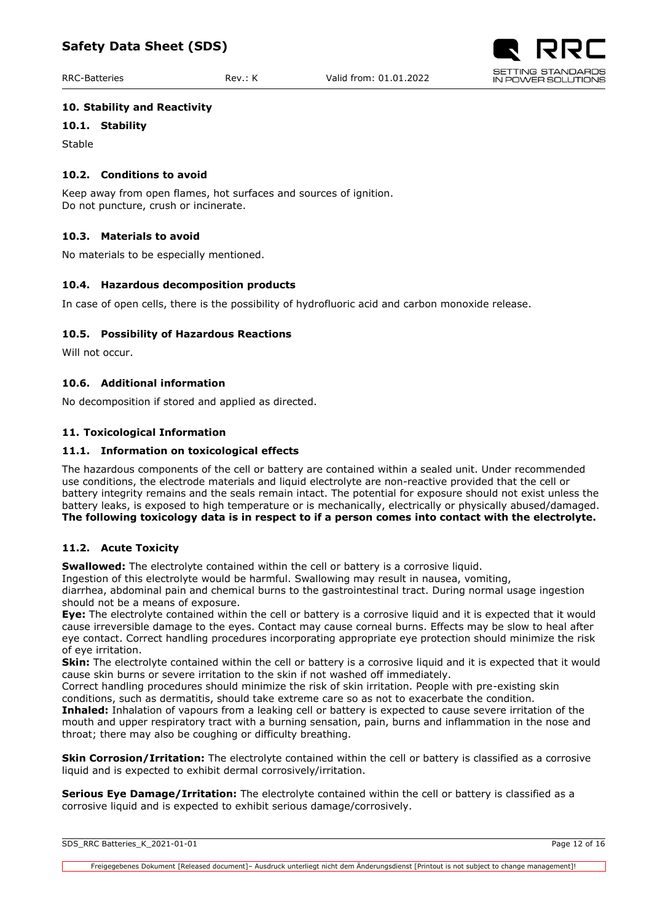## <span id="page-11-0"></span>**10. Stability and Reactivity**

## <span id="page-11-1"></span>**10.1. Stability**

Stable

#### <span id="page-11-2"></span>**10.2. Conditions to avoid**

Keep away from open flames, hot surfaces and sources of ignition. Do not puncture, crush or incinerate.

## <span id="page-11-3"></span>**10.3. Materials to avoid**

No materials to be especially mentioned.

## <span id="page-11-4"></span>**10.4. Hazardous decomposition products**

In case of open cells, there is the possibility of hydrofluoric acid and carbon monoxide release.

## <span id="page-11-5"></span>**10.5. Possibility of Hazardous Reactions**

Will not occur.

## <span id="page-11-6"></span>**10.6. Additional information**

No decomposition if stored and applied as directed.

## <span id="page-11-7"></span>**11. Toxicological Information**

## <span id="page-11-8"></span>**11.1. Information on toxicological effects**

The hazardous components of the cell or battery are contained within a sealed unit. Under recommended use conditions, the electrode materials and liquid electrolyte are non-reactive provided that the cell or battery integrity remains and the seals remain intact. The potential for exposure should not exist unless the battery leaks, is exposed to high temperature or is mechanically, electrically or physically abused/damaged. **The following toxicology data is in respect to if a person comes into contact with the electrolyte.**

## <span id="page-11-9"></span>**11.2. Acute Toxicity**

**Swallowed:** The electrolyte contained within the cell or battery is a corrosive liquid.

Ingestion of this electrolyte would be harmful. Swallowing may result in nausea, vomiting,

diarrhea, abdominal pain and chemical burns to the gastrointestinal tract. During normal usage ingestion should not be a means of exposure.

**Eye:** The electrolyte contained within the cell or battery is a corrosive liquid and it is expected that it would cause irreversible damage to the eyes. Contact may cause corneal burns. Effects may be slow to heal after eye contact. Correct handling procedures incorporating appropriate eye protection should minimize the risk of eye irritation.

**Skin:** The electrolyte contained within the cell or battery is a corrosive liquid and it is expected that it would cause skin burns or severe irritation to the skin if not washed off immediately.

Correct handling procedures should minimize the risk of skin irritation. People with pre-existing skin conditions, such as dermatitis, should take extreme care so as not to exacerbate the condition.

**Inhaled:** Inhalation of vapours from a leaking cell or battery is expected to cause severe irritation of the mouth and upper respiratory tract with a burning sensation, pain, burns and inflammation in the nose and throat; there may also be coughing or difficulty breathing.

**Skin Corrosion/Irritation:** The electrolyte contained within the cell or battery is classified as a corrosive liquid and is expected to exhibit dermal corrosively/irritation.

**Serious Eye Damage/Irritation:** The electrolyte contained within the cell or battery is classified as a corrosive liquid and is expected to exhibit serious damage/corrosively.

| SDS_RRC Batteries_K_2021-01-01 | Page 12 of 16 |
|--------------------------------|---------------|
|                                |               |

Freigegebenes Dokument [Released document]– Ausdruck unterliegt nicht dem Änderungsdienst [Printout is not subject to change management]!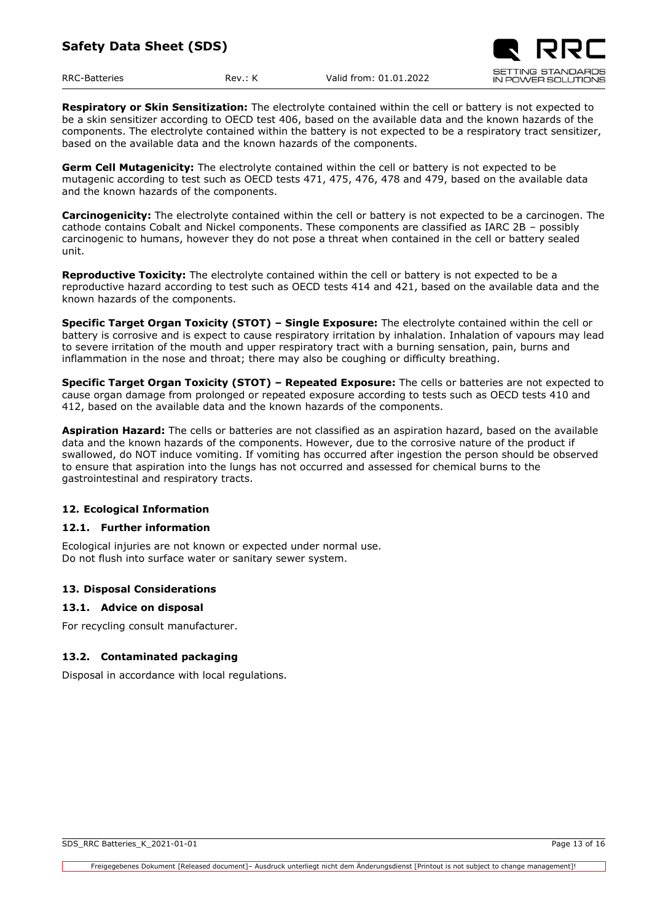**Respiratory or Skin Sensitization:** The electrolyte contained within the cell or battery is not expected to be a skin sensitizer according to OECD test 406, based on the available data and the known hazards of the components. The electrolyte contained within the battery is not expected to be a respiratory tract sensitizer, based on the available data and the known hazards of the components.

**Germ Cell Mutagenicity:** The electrolyte contained within the cell or battery is not expected to be mutagenic according to test such as OECD tests 471, 475, 476, 478 and 479, based on the available data and the known hazards of the components.

**Carcinogenicity:** The electrolyte contained within the cell or battery is not expected to be a carcinogen. The cathode contains Cobalt and Nickel components. These components are classified as IARC 2B – possibly carcinogenic to humans, however they do not pose a threat when contained in the cell or battery sealed unit.

**Reproductive Toxicity:** The electrolyte contained within the cell or battery is not expected to be a reproductive hazard according to test such as OECD tests 414 and 421, based on the available data and the known hazards of the components.

**Specific Target Organ Toxicity (STOT) – Single Exposure:** The electrolyte contained within the cell or battery is corrosive and is expect to cause respiratory irritation by inhalation. Inhalation of vapours may lead to severe irritation of the mouth and upper respiratory tract with a burning sensation, pain, burns and inflammation in the nose and throat; there may also be coughing or difficulty breathing.

**Specific Target Organ Toxicity (STOT) – Repeated Exposure:** The cells or batteries are not expected to cause organ damage from prolonged or repeated exposure according to tests such as OECD tests 410 and 412, based on the available data and the known hazards of the components.

**Aspiration Hazard:** The cells or batteries are not classified as an aspiration hazard, based on the available data and the known hazards of the components. However, due to the corrosive nature of the product if swallowed, do NOT induce vomiting. If vomiting has occurred after ingestion the person should be observed to ensure that aspiration into the lungs has not occurred and assessed for chemical burns to the gastrointestinal and respiratory tracts.

# <span id="page-12-0"></span>**12. Ecological Information**

## <span id="page-12-1"></span>**12.1. Further information**

Ecological injuries are not known or expected under normal use. Do not flush into surface water or sanitary sewer system.

## <span id="page-12-2"></span>**13. Disposal Considerations**

## <span id="page-12-3"></span>**13.1. Advice on disposal**

For recycling consult manufacturer.

## <span id="page-12-4"></span>**13.2. Contaminated packaging**

Disposal in accordance with local regulations.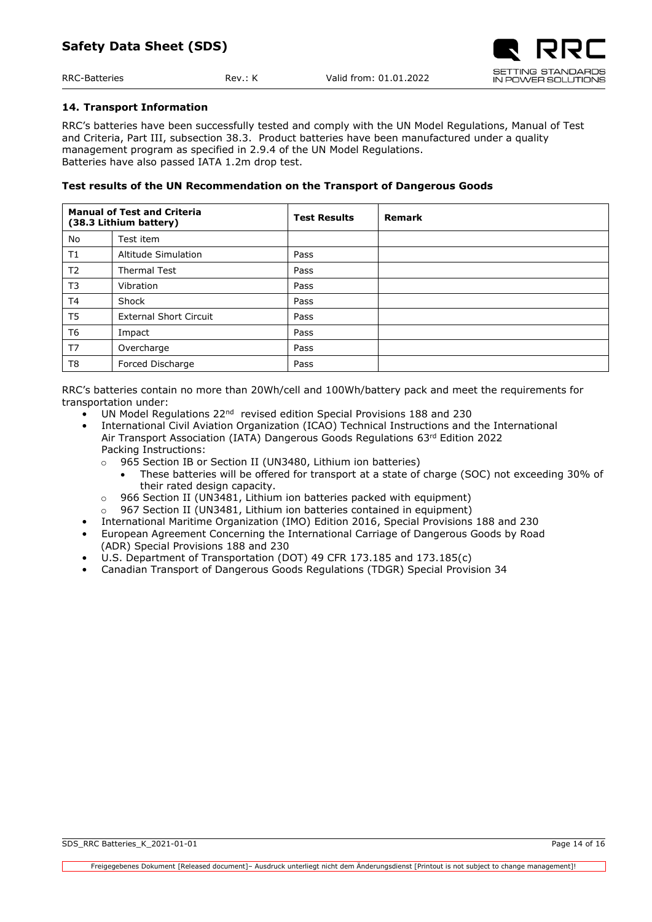#### <span id="page-13-0"></span>**14. Transport Information**

RRC's batteries have been successfully tested and comply with the UN Model Regulations, Manual of Test and Criteria, Part III, subsection 38.3. Product batteries have been manufactured under a quality management program as specified in 2.9.4 of the UN Model Regulations. Batteries have also passed IATA 1.2m drop test.

## **Test results of the UN Recommendation on the Transport of Dangerous Goods**

| <b>Manual of Test and Criteria</b><br>(38.3 Lithium battery) |                               | <b>Test Results</b> | <b>Remark</b> |
|--------------------------------------------------------------|-------------------------------|---------------------|---------------|
| No                                                           | Test item                     |                     |               |
| T1                                                           | Altitude Simulation           | Pass                |               |
| T <sub>2</sub>                                               | <b>Thermal Test</b>           | Pass                |               |
| T <sub>3</sub>                                               | Vibration                     | Pass                |               |
| T <sub>4</sub>                                               | Shock                         | Pass                |               |
| T <sub>5</sub>                                               | <b>External Short Circuit</b> | Pass                |               |
| T <sub>6</sub>                                               | Impact                        | Pass                |               |
| T <sub>7</sub>                                               | Overcharge                    | Pass                |               |
| T <sub>8</sub>                                               | Forced Discharge              | Pass                |               |

RRC's batteries contain no more than 20Wh/cell and 100Wh/battery pack and meet the requirements for transportation under:

- UN Model Regulations 22<sup>nd</sup> revised edition Special Provisions 188 and 230
- International Civil Aviation Organization (ICAO) Technical Instructions and the International Air Transport Association (IATA) Dangerous Goods Regulations 63rd Edition 2022 Packing Instructions:
	- o 965 Section IB or Section II (UN3480, Lithium ion batteries)
		- These batteries will be offered for transport at a state of charge (SOC) not exceeding 30% of their rated design capacity.
	- $\circ$  966 Section II (UN3481, Lithium ion batteries packed with equipment)
	- o 967 Section II (UN3481, Lithium ion batteries contained in equipment)
- International Maritime Organization (IMO) Edition 2016, Special Provisions 188 and 230
- European Agreement Concerning the International Carriage of Dangerous Goods by Road (ADR) Special Provisions 188 and 230
- U.S. Department of Transportation (DOT) 49 CFR 173.185 and 173.185(c)
- <span id="page-13-1"></span>• Canadian Transport of Dangerous Goods Regulations (TDGR) Special Provision 34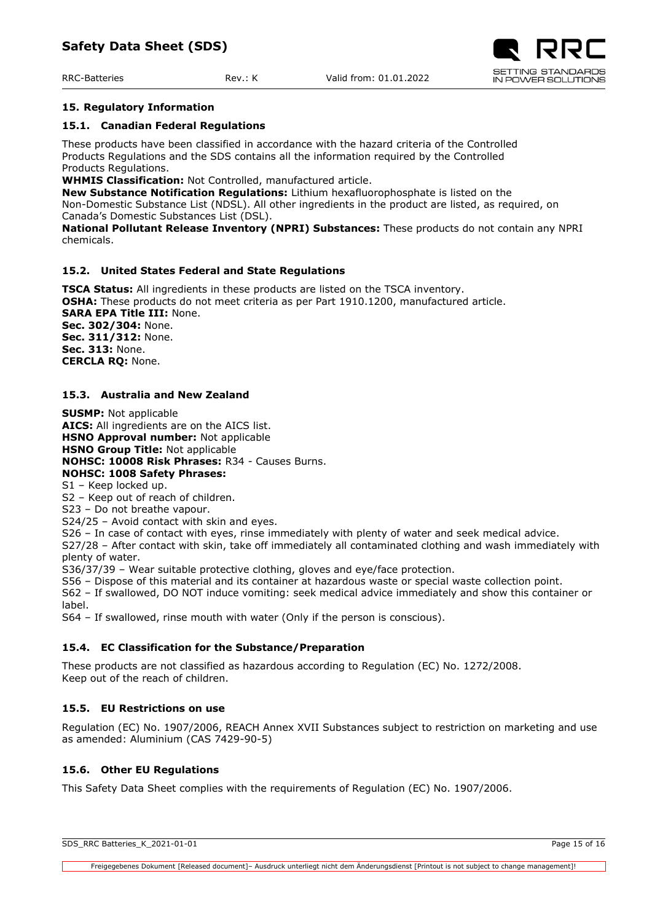#### **15. Regulatory Information**

#### <span id="page-14-0"></span>**15.1. Canadian Federal Regulations**

These products have been classified in accordance with the hazard criteria of the Controlled Products Regulations and the SDS contains all the information required by the Controlled Products Regulations.

**WHMIS Classification:** Not Controlled, manufactured article.

**New Substance Notification Regulations:** Lithium hexafluorophosphate is listed on the Non-Domestic Substance List (NDSL). All other ingredients in the product are listed, as required, on Canada's Domestic Substances List (DSL).

**National Pollutant Release Inventory (NPRI) Substances:** These products do not contain any NPRI chemicals.

## <span id="page-14-1"></span>**15.2. United States Federal and State Regulations**

**TSCA Status:** All ingredients in these products are listed on the TSCA inventory. **OSHA:** These products do not meet criteria as per Part 1910.1200, manufactured article. **SARA EPA Title III:** None. **Sec. 302/304:** None. **Sec. 311/312:** None. **Sec. 313:** None.

**CERCLA RQ:** None.

# <span id="page-14-2"></span>**15.3. Australia and New Zealand**

**SUSMP:** Not applicable **AICS:** All ingredients are on the AICS list. **HSNO Approval number:** Not applicable **HSNO Group Title:** Not applicable **NOHSC: 10008 Risk Phrases:** R34 - Causes Burns. **NOHSC: 1008 Safety Phrases:** 

S1 – Keep locked up.

S2 – Keep out of reach of children.

S23 – Do not breathe vapour.

S24/25 – Avoid contact with skin and eyes.

S26 – In case of contact with eyes, rinse immediately with plenty of water and seek medical advice.

S27/28 – After contact with skin, take off immediately all contaminated clothing and wash immediately with plenty of water.

S36/37/39 – Wear suitable protective clothing, gloves and eye/face protection.

S56 – Dispose of this material and its container at hazardous waste or special waste collection point.

S62 – If swallowed, DO NOT induce vomiting: seek medical advice immediately and show this container or label.

S64 – If swallowed, rinse mouth with water (Only if the person is conscious).

## <span id="page-14-3"></span>**15.4. EC Classification for the Substance/Preparation**

These products are not classified as hazardous according to Regulation (EC) No. 1272/2008. Keep out of the reach of children.

# <span id="page-14-4"></span>**15.5. EU Restrictions on use**

Regulation (EC) No. 1907/2006, REACH Annex XVII Substances subject to restriction on marketing and use as amended: Aluminium (CAS 7429-90-5)

## <span id="page-14-5"></span>**15.6. Other EU Regulations**

<span id="page-14-6"></span>This Safety Data Sheet complies with the requirements of Regulation (EC) No. 1907/2006.